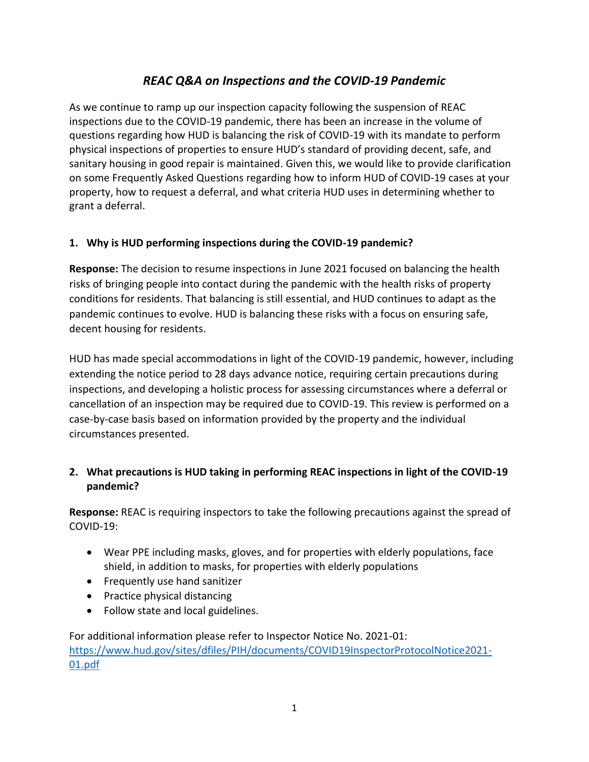# *REAC Q&A on Inspections and the COVID-19 Pandemic*

As we continue to ramp up our inspection capacity following the suspension of REAC inspections due to the COVID-19 pandemic, there has been an increase in the volume of questions regarding how HUD is balancing the risk of COVID-19 with its mandate to perform physical inspections of properties to ensure HUD's standard of providing decent, safe, and sanitary housing in good repair is maintained. Given this, we would like to provide clarification on some Frequently Asked Questions regarding how to inform HUD of COVID-19 cases at your property, how to request a deferral, and what criteria HUD uses in determining whether to grant a deferral.

#### **1. Why is HUD performing inspections during the COVID-19 pandemic?**

**Response:** The decision to resume inspections in June 2021 focused on balancing the health risks of bringing people into contact during the pandemic with the health risks of property conditions for residents. That balancing is still essential, and HUD continues to adapt as the pandemic continues to evolve. HUD is balancing these risks with a focus on ensuring safe, decent housing for residents.

HUD has made special accommodations in light of the COVID-19 pandemic, however, including extending the notice period to 28 days advance notice, requiring certain precautions during inspections, and developing a holistic process for assessing circumstances where a deferral or cancellation of an inspection may be required due to COVID-19. This review is performed on a case-by-case basis based on information provided by the property and the individual circumstances presented.

# **2. What precautions is HUD taking in performing REAC inspections in light of the COVID-19 pandemic?**

**Response:** REAC is requiring inspectors to take the following precautions against the spread of COVID-19:

- Wear PPE including masks, gloves, and for properties with elderly populations, face shield, in addition to masks, for properties with elderly populations
- Frequently use hand sanitizer
- Practice physical distancing
- Follow state and local guidelines.

For additional information please refer to Inspector Notice No. 2021-01: [https://www.hud.gov/sites/dfiles/PIH/documents/COVID19InspectorProtocolNotice2021-](https://www.hud.gov/sites/dfiles/PIH/documents/COVID19InspectorProtocolNotice2021-01.pdf) [01.pdf](https://www.hud.gov/sites/dfiles/PIH/documents/COVID19InspectorProtocolNotice2021-01.pdf)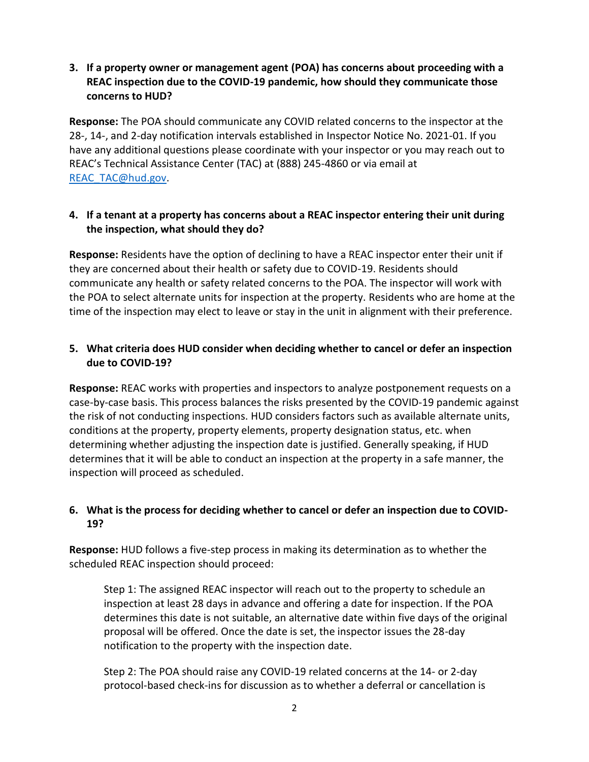#### **3. If a property owner or management agent (POA) has concerns about proceeding with a REAC inspection due to the COVID-19 pandemic, how should they communicate those concerns to HUD?**

**Response:** The POA should communicate any COVID related concerns to the inspector at the 28-, 14-, and 2-day notification intervals established in Inspector Notice No. 2021-01. If you have any additional questions please coordinate with your inspector or you may reach out to REAC's Technical Assistance Center (TAC) at (888) 245-4860 or via email at [REAC\\_TAC@hud.gov.](mailto:REAC_TAC@hud.gov)

# **4. If a tenant at a property has concerns about a REAC inspector entering their unit during the inspection, what should they do?**

**Response:** Residents have the option of declining to have a REAC inspector enter their unit if they are concerned about their health or safety due to COVID-19. Residents should communicate any health or safety related concerns to the POA. The inspector will work with the POA to select alternate units for inspection at the property. Residents who are home at the time of the inspection may elect to leave or stay in the unit in alignment with their preference.

# **5. What criteria does HUD consider when deciding whether to cancel or defer an inspection due to COVID-19?**

**Response:** REAC works with properties and inspectors to analyze postponement requests on a case-by-case basis. This process balances the risks presented by the COVID-19 pandemic against the risk of not conducting inspections. HUD considers factors such as available alternate units, conditions at the property, property elements, property designation status, etc. when determining whether adjusting the inspection date is justified. Generally speaking, if HUD determines that it will be able to conduct an inspection at the property in a safe manner, the inspection will proceed as scheduled.

# **6. What is the process for deciding whether to cancel or defer an inspection due to COVID-19?**

**Response:** HUD follows a five-step process in making its determination as to whether the scheduled REAC inspection should proceed:

Step 1: The assigned REAC inspector will reach out to the property to schedule an inspection at least 28 days in advance and offering a date for inspection. If the POA determines this date is not suitable, an alternative date within five days of the original proposal will be offered. Once the date is set, the inspector issues the 28-day notification to the property with the inspection date.

Step 2: The POA should raise any COVID-19 related concerns at the 14- or 2-day protocol-based check-ins for discussion as to whether a deferral or cancellation is